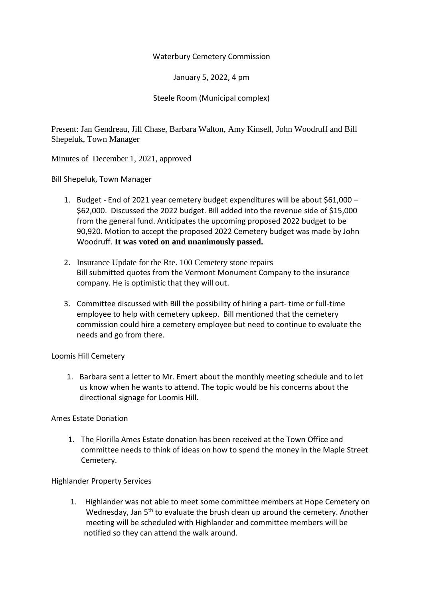### Waterbury Cemetery Commission

January 5, 2022, 4 pm

Steele Room (Municipal complex)

Present: Jan Gendreau, Jill Chase, Barbara Walton, Amy Kinsell, John Woodruff and Bill Shepeluk, Town Manager

Minutes of December 1, 2021, approved

Bill Shepeluk, Town Manager

- 1. Budget End of 2021 year cemetery budget expenditures will be about \$61,000 \$62,000. Discussed the 2022 budget. Bill added into the revenue side of \$15,000 from the general fund. Anticipates the upcoming proposed 2022 budget to be 90,920. Motion to accept the proposed 2022 Cemetery budget was made by John Woodruff. **It was voted on and unanimously passed.**
- 2. Insurance Update for the Rte. 100 Cemetery stone repairs Bill submitted quotes from the Vermont Monument Company to the insurance company. He is optimistic that they will out.
- 3. Committee discussed with Bill the possibility of hiring a part- time or full-time employee to help with cemetery upkeep. Bill mentioned that the cemetery commission could hire a cemetery employee but need to continue to evaluate the needs and go from there.

#### Loomis Hill Cemetery

1. Barbara sent a letter to Mr. Emert about the monthly meeting schedule and to let us know when he wants to attend. The topic would be his concerns about the directional signage for Loomis Hill.

# Ames Estate Donation

1. The Florilla Ames Estate donation has been received at the Town Office and committee needs to think of ideas on how to spend the money in the Maple Street Cemetery.

# Highlander Property Services

1. Highlander was not able to meet some committee members at Hope Cemetery on Wednesday, Jan 5<sup>th</sup> to evaluate the brush clean up around the cemetery. Another meeting will be scheduled with Highlander and committee members will be notified so they can attend the walk around.